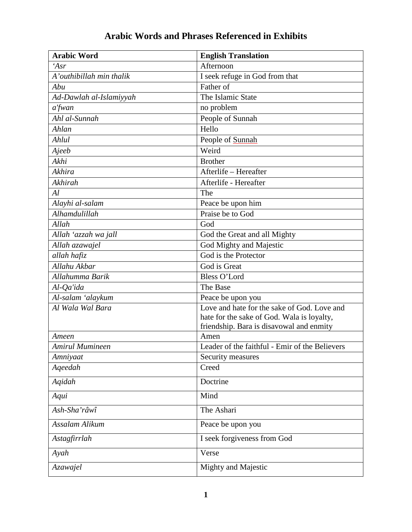| <b>Arabic Word</b>              | <b>English Translation</b>                       |
|---------------------------------|--------------------------------------------------|
| 'Asr                            | Afternoon                                        |
| A'outhibillah min thalik        | I seek refuge in God from that                   |
| Abu                             | Father of                                        |
| Ad-Dawlah al-Islamiyyah         | The Islamic State                                |
| a'fwan                          | no problem                                       |
| Ahl al-Sunnah                   | People of Sunnah                                 |
| Ahlan                           | Hello                                            |
| Ahlul                           | People of Sunnah                                 |
| Ajeeb                           | Weird                                            |
| Akhi                            | <b>Brother</b>                                   |
| Akhira                          | Afterlife - Hereafter                            |
| Akhirah                         | Afterlife - Hereafter                            |
| Al                              | The                                              |
| Alayhi al-salam                 | Peace be upon him                                |
| Alhamdulillah                   | Praise be to God                                 |
| Allah                           | God                                              |
| Allah 'azzah wa jall            | God the Great and all Mighty                     |
| Allah azawajel                  | God Mighty and Majestic                          |
| allah hafiz                     | God is the Protector                             |
| Allahu Akbar                    | God is Great                                     |
| Allahumma Barik                 | <b>Bless O'Lord</b>                              |
| Al-Qa'ida                       | The Base                                         |
| Al-salam 'alaykum               | Peace be upon you                                |
| Al Wala Wal Bara                | Love and hate for the sake of God. Love and      |
|                                 | hate for the sake of God. Wala is loyalty,       |
|                                 | friendship. Bara is disavowal and enmity<br>Amen |
| Ameen<br><b>Amirul Mumineen</b> | Leader of the faithful - Emir of the Believers   |
| Amniyaat                        | Security measures                                |
| Ageedah                         | Creed                                            |
|                                 |                                                  |
| Aqidah                          | Doctrine                                         |
| Aqui                            | Mind                                             |
| Ash-Sha'râwî                    | The Ashari                                       |
| Assalam Alikum                  | Peace be upon you                                |
| Astagfirrlah                    | I seek forgiveness from God                      |
| Ayah                            | Verse                                            |
| Azawajel                        | Mighty and Majestic                              |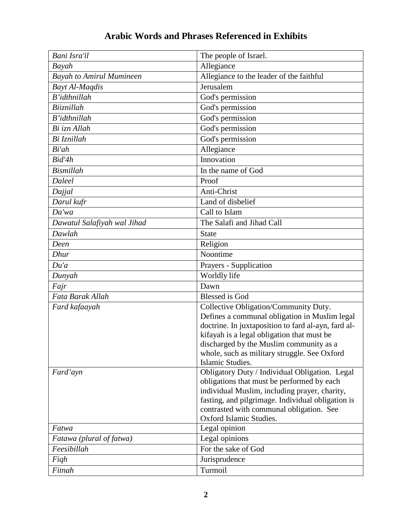| Bani Isra'il                    | The people of Israel.                                                                                                                                                                                                                                                                                      |
|---------------------------------|------------------------------------------------------------------------------------------------------------------------------------------------------------------------------------------------------------------------------------------------------------------------------------------------------------|
| Bayah                           | Allegiance                                                                                                                                                                                                                                                                                                 |
| <b>Bayah to Amirul Mumineen</b> | Allegiance to the leader of the faithful                                                                                                                                                                                                                                                                   |
| Bayt Al-Maqdis                  | Jerusalem                                                                                                                                                                                                                                                                                                  |
| B'idthnillah                    | God's permission                                                                                                                                                                                                                                                                                           |
| Biiznillah                      | God's permission                                                                                                                                                                                                                                                                                           |
| $B'$ <i>idthnillah</i>          | God's permission                                                                                                                                                                                                                                                                                           |
| Bi izn Allah                    | God's permission                                                                                                                                                                                                                                                                                           |
| Bi Iznillah                     | God's permission                                                                                                                                                                                                                                                                                           |
| Bi'ah                           | Allegiance                                                                                                                                                                                                                                                                                                 |
| Bid'4h                          | Innovation                                                                                                                                                                                                                                                                                                 |
| <b>Bismillah</b>                | In the name of God                                                                                                                                                                                                                                                                                         |
| <b>Daleel</b>                   | Proof                                                                                                                                                                                                                                                                                                      |
| Dajjal                          | Anti-Christ                                                                                                                                                                                                                                                                                                |
| Darul kufr                      | Land of disbelief                                                                                                                                                                                                                                                                                          |
| Da'wa                           | Call to Islam                                                                                                                                                                                                                                                                                              |
| Dawatul Salafiyah wal Jihad     | The Salafi and Jihad Call                                                                                                                                                                                                                                                                                  |
| Dawlah                          | <b>State</b>                                                                                                                                                                                                                                                                                               |
| Deen                            | Religion                                                                                                                                                                                                                                                                                                   |
| Dhur                            | Noontime                                                                                                                                                                                                                                                                                                   |
| Du'a                            | Prayers - Supplication                                                                                                                                                                                                                                                                                     |
| Dunyah                          | Worldly life                                                                                                                                                                                                                                                                                               |
| Fajr                            | Dawn                                                                                                                                                                                                                                                                                                       |
| Fata Barak Allah                | <b>Blessed</b> is God                                                                                                                                                                                                                                                                                      |
| Fard kafaayah                   | Collective Obligation/Community Duty.<br>Defines a communal obligation in Muslim legal<br>doctrine. In juxtaposition to fard al-ayn, fard al-<br>kifayah is a legal obligation that must be<br>discharged by the Muslim community as a<br>whole, such as military struggle. See Oxford<br>Islamic Studies. |
| Fard'ayn                        | Obligatory Duty / Individual Obligation. Legal<br>obligations that must be performed by each<br>individual Muslim, including prayer, charity,<br>fasting, and pilgrimage. Individual obligation is<br>contrasted with communal obligation. See<br>Oxford Islamic Studies.                                  |
| Fatwa                           | Legal opinion                                                                                                                                                                                                                                                                                              |
| Fatawa (plural of fatwa)        | Legal opinions                                                                                                                                                                                                                                                                                             |
| Feesibillah                     | For the sake of God                                                                                                                                                                                                                                                                                        |
| Figh                            | Jurisprudence                                                                                                                                                                                                                                                                                              |
| Fitnah                          | Turmoil                                                                                                                                                                                                                                                                                                    |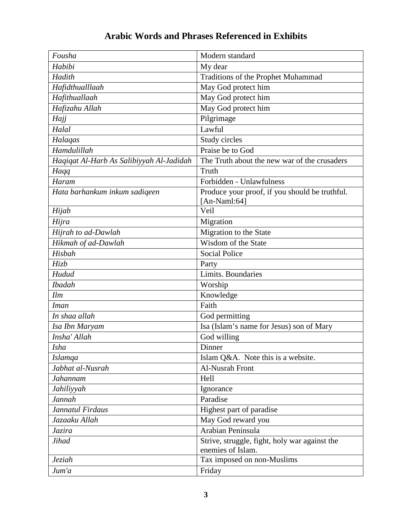| Fousha                                   | Modern standard                                                    |
|------------------------------------------|--------------------------------------------------------------------|
| Habibi                                   | My dear                                                            |
| Hadith                                   | Traditions of the Prophet Muhammad                                 |
| Hafidthualllaah                          | May God protect him                                                |
| Hafithuallaah                            | May God protect him                                                |
| Hafizahu Allah                           | May God protect him                                                |
| Hajj                                     | Pilgrimage                                                         |
| Halal                                    | Lawful                                                             |
| Halaqas                                  | Study circles                                                      |
| Hamdulillah                              | Praise be to God                                                   |
| Haqiqat Al-Harb As Salibiyyah Al-Jadidah | The Truth about the new war of the crusaders                       |
| Haqq                                     | Truth                                                              |
| Haram                                    | Forbidden - Unlawfulness                                           |
| Hata barhankum inkum sadiqeen            | Produce your proof, if you should be truthful.<br>[An-Naml:64]     |
| Hijab                                    | $\overline{Ve}$ il                                                 |
| Hijra                                    | Migration                                                          |
| Hijrah to ad-Dawlah                      | Migration to the State                                             |
| Hikmah of ad-Dawlah                      | Wisdom of the State                                                |
| Hisbah                                   | <b>Social Police</b>                                               |
| Hizb                                     | Party                                                              |
| Hudud                                    | Limits. Boundaries                                                 |
| <b>Ibadah</b>                            | Worship                                                            |
| Ilm                                      | Knowledge                                                          |
| <b>Iman</b>                              | Faith                                                              |
| In shaa allah                            | God permitting                                                     |
| Isa Ibn Maryam                           | Isa (Islam's name for Jesus) son of Mary                           |
| Insha' Allah                             | God willing                                                        |
| <i>Isha</i>                              | Dinner                                                             |
| <b>Islamqa</b>                           | Islam Q&A. Note this is a website.                                 |
| Jabhat al-Nusrah                         | Al-Nusrah Front                                                    |
| Jahannam                                 | Hell                                                               |
| Jahiliyyah                               | Ignorance                                                          |
| Jannah                                   | Paradise                                                           |
| Jannatul Firdaus                         | Highest part of paradise                                           |
| Jazaaku Allah                            | May God reward you                                                 |
| Jazira                                   | Arabian Peninsula                                                  |
| Jihad                                    | Strive, struggle, fight, holy war against the<br>enemies of Islam. |
| Jeziah                                   | Tax imposed on non-Muslims                                         |
| Jum'a                                    | Friday                                                             |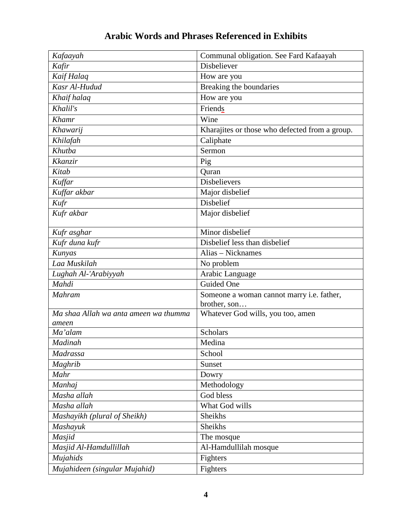| Kafaayah                              | Communal obligation. See Fard Kafaayah            |
|---------------------------------------|---------------------------------------------------|
| Kafir                                 | Disbeliever                                       |
| Kaif Halaq                            | How are you                                       |
| Kasr Al-Hudud                         | Breaking the boundaries                           |
| Khaif halaq                           | How are you                                       |
| Khalil's                              | Friends                                           |
| Khamr                                 | Wine                                              |
| Khawarij                              | Kharajites or those who defected from a group.    |
| Khilafah                              | Caliphate                                         |
| Khutba                                | Sermon                                            |
| Kkanzir                               | Pig                                               |
| Kitab                                 | Quran                                             |
| Kuffar                                | <b>Disbelievers</b>                               |
| Kuffar akbar                          | Major disbelief                                   |
| Kufr                                  | <b>Disbelief</b>                                  |
| Kufr akbar                            | Major disbelief                                   |
|                                       |                                                   |
| Kufr asghar                           | Minor disbelief                                   |
| Kufr duna kufr                        | Disbelief less than disbelief                     |
| Kunyas                                | Alias - Nicknames                                 |
| Laa Muskilah                          | No problem                                        |
| Lughah Al-'Arabiyyah                  | Arabic Language                                   |
| Mahdi                                 | Guided One                                        |
| <b>Mahram</b>                         | Someone a woman cannot marry i.e. father,         |
| Ma shaa Allah wa anta ameen wa thumma | brother, son<br>Whatever God wills, you too, amen |
| ameen                                 |                                                   |
| Ma'alam                               | Scholars                                          |
| Madinah                               | Medina                                            |
| Madrassa                              | School                                            |
| Maghrib                               | Sunset                                            |
| Mahr                                  | Dowry                                             |
| Manhaj                                | Methodology                                       |
| Masha allah                           | God bless                                         |
| Masha allah                           | What God wills                                    |
| Mashayikh (plural of Sheikh)          | Sheikhs                                           |
| Mashayuk                              | Sheikhs                                           |
| Masjid                                | The mosque                                        |
| Masjid Al-Hamdullillah                | Al-Hamdullilah mosque                             |
| Mujahids                              | Fighters                                          |
| Mujahideen (singular Mujahid)         | Fighters                                          |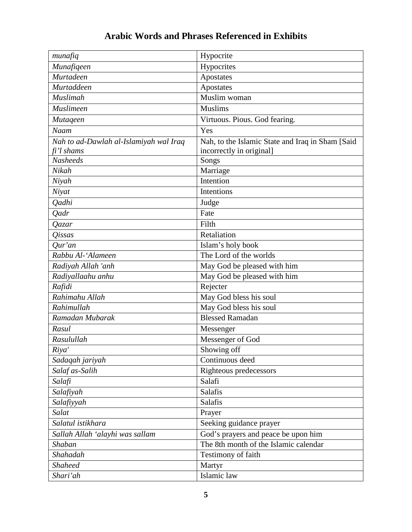| munafiq                                | Hypocrite                                        |
|----------------------------------------|--------------------------------------------------|
| Munafiqeen                             | Hypocrites                                       |
| Murtadeen                              | Apostates                                        |
| Murtaddeen                             | Apostates                                        |
| <b>Muslimah</b>                        | Muslim woman                                     |
| Muslimeen                              | <b>Muslims</b>                                   |
| <b>Mutageen</b>                        | Virtuous. Pious. God fearing.                    |
| Naam                                   | Yes                                              |
| Nah to ad-Dawlah al-Islamiyah wal Iraq | Nah, to the Islamic State and Iraq in Sham [Said |
| fi'l shams                             | incorrectly in original]                         |
| <b>Nasheeds</b>                        | Songs                                            |
| Nikah                                  | Marriage                                         |
| Niyah                                  | Intention                                        |
| Niyat                                  | Intentions                                       |
| <b>Qadhi</b>                           | Judge                                            |
| <b>Qadr</b>                            | Fate                                             |
| Qazar                                  | Filth                                            |
| <i><b>Oissas</b></i>                   | Retaliation                                      |
| $Qur'$ an                              | Islam's holy book                                |
| Rabbu Al-'Alameen                      | The Lord of the worlds                           |
| Radiyah Allah 'anh                     | May God be pleased with him                      |
| Radiyallaahu anhu                      | May God be pleased with him                      |
| Rafidi                                 | Rejecter                                         |
| Rahimahu Allah                         | May God bless his soul                           |
| Rahimullah                             | May God bless his soul                           |
| Ramadan Mubarak                        | <b>Blessed Ramadan</b>                           |
| Rasul                                  | Messenger                                        |
| Rasulullah                             | Messenger of God                                 |
| Riya'                                  | Showing off                                      |
| Sadaqah jariyah                        | Continuous deed                                  |
| Salaf as-Salih                         | Righteous predecessors                           |
| Salafi                                 | Salafi                                           |
| Salafiyah                              | Salafis                                          |
| Salafiyyah                             | Salafis                                          |
| Salat                                  | Prayer                                           |
| Salatul istikhara                      | Seeking guidance prayer                          |
| Sallah Allah 'alayhi was sallam        | God's prayers and peace be upon him              |
| Shaban                                 | The 8th month of the Islamic calendar            |
| Shahadah                               | Testimony of faith                               |
| <b>Shaheed</b>                         | Martyr                                           |
| Shari'ah                               | Islamic law                                      |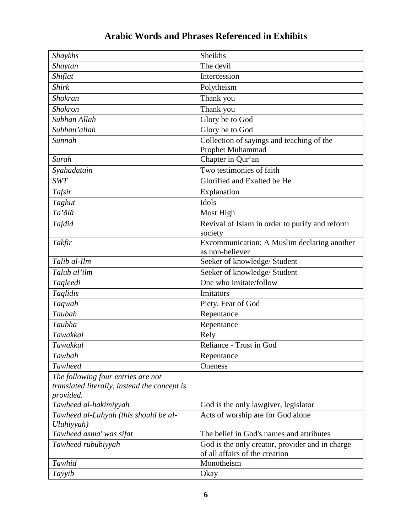| Shaykhs                                                                                         | Sheikhs                                                                           |
|-------------------------------------------------------------------------------------------------|-----------------------------------------------------------------------------------|
| Shaytan                                                                                         | The devil                                                                         |
| Shifiat                                                                                         | Intercession                                                                      |
| <b>Shirk</b>                                                                                    | Polytheism                                                                        |
| Shokran                                                                                         | Thank you                                                                         |
| <b>Shokron</b>                                                                                  | Thank you                                                                         |
| Subhan Allah                                                                                    | Glory be to God                                                                   |
| Subhan'allah                                                                                    | Glory be to God                                                                   |
| Sunnah                                                                                          | Collection of sayings and teaching of the<br>Prophet Muhammad                     |
| Surah                                                                                           | Chapter in Qur'an                                                                 |
| Syahadatain                                                                                     | Two testimonies of faith                                                          |
| <b>SWT</b>                                                                                      | Glorified and Exalted be He                                                       |
| Tafsir                                                                                          | Explanation                                                                       |
| Taghut                                                                                          | Idols                                                                             |
| $\overline{a}$ 'âlâ                                                                             | Most High                                                                         |
| Tajdid                                                                                          | Revival of Islam in order to purify and reform<br>society                         |
| Takfir                                                                                          | Excommunication: A Muslim declaring another<br>as non-believer                    |
| Talib al-Ilm                                                                                    | Seeker of knowledge/ Student                                                      |
| Talub al'ilm                                                                                    | Seeker of knowledge/ Student                                                      |
| Taqleedi                                                                                        | One who imitate/follow                                                            |
| Taglidis                                                                                        | Imitators                                                                         |
| Taqwah                                                                                          | Piety. Fear of God                                                                |
| Taubah                                                                                          | Repentance                                                                        |
| Taubha                                                                                          | Repentance                                                                        |
| Tawakkal                                                                                        | Rely                                                                              |
| Tawakkul                                                                                        | Reliance - Trust in God                                                           |
| Tawbah                                                                                          | Repentance                                                                        |
| <b>Tawheed</b>                                                                                  | Oneness                                                                           |
| The following four entries are not<br>translated literally, instead the concept is<br>provided. |                                                                                   |
| Tawheed al-hakimiyyah                                                                           | God is the only lawgiver, legislator                                              |
| Tawheed al-Luhyah (this should be al-<br>Uluhiyyah)                                             | Acts of worship are for God alone                                                 |
| Tawheed asma' was sifat                                                                         | The belief in God's names and attributes                                          |
| Tawheed rububiyyah                                                                              | God is the only creator, provider and in charge<br>of all affairs of the creation |
| Tawhid                                                                                          | Monotheism                                                                        |
| Tayyib                                                                                          | Okay                                                                              |